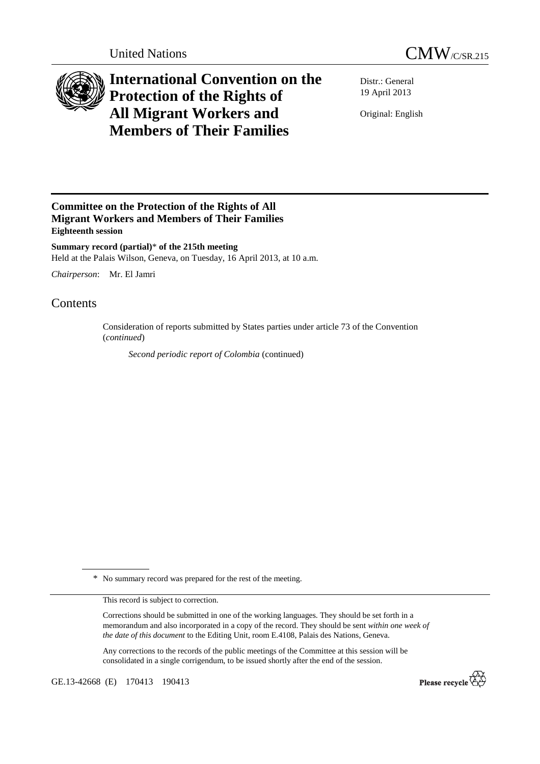



## **International Convention on the Protection of the Rights of All Migrant Workers and Members of Their Families**

Distr.: General 19 April 2013

Original: English

## **Committee on the Protection of the Rights of All Migrant Workers and Members of Their Families Eighteenth session**

**Summary record (partial)**\* **of the 215th meeting**  Held at the Palais Wilson, Geneva, on Tuesday, 16 April 2013, at 10 a.m.

*Chairperson*: Mr. El Jamri

## Contents

Consideration of reports submitted by States parties under article 73 of the Convention (*continued*)

*Second periodic report of Colombia* (continued)

\* No summary record was prepared for the rest of the meeting.

This record is subject to correction.

Corrections should be submitted in one of the working languages. They should be set forth in a memorandum and also incorporated in a copy of the record. They should be sent *within one week of the date of this document* to the Editing Unit, room E.4108, Palais des Nations, Geneva.

Any corrections to the records of the public meetings of the Committee at this session will be consolidated in a single corrigendum, to be issued shortly after the end of the session.

GE.13-42668 (E) 170413 190413

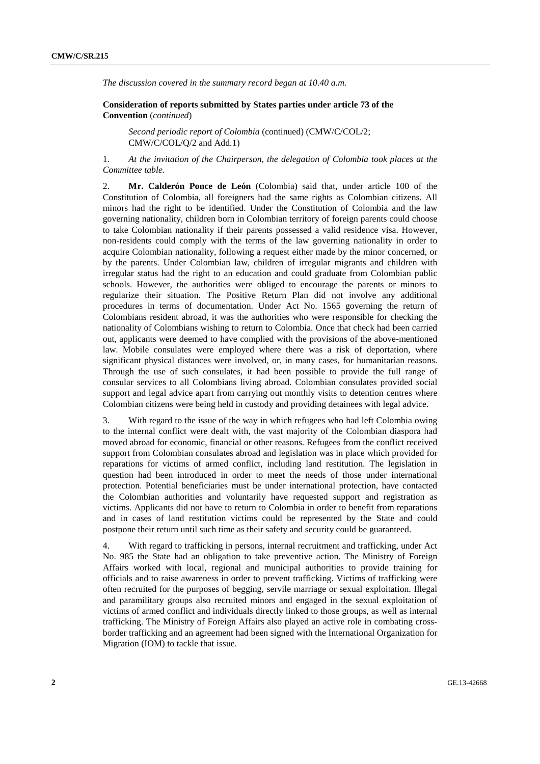*The discussion covered in the summary record began at 10.40 a.m.* 

 **Consideration of reports submitted by States parties under article 73 of the Convention** (*continued*)

*Second periodic report of Colombia* (continued) (CMW/C/COL/2; CMW/C/COL/Q/2 and Add.1)

1. *At the invitation of the Chairperson, the delegation of Colombia took places at the Committee table.* 

2. **Mr. Calderón Ponce de León** (Colombia) said that, under article 100 of the Constitution of Colombia, all foreigners had the same rights as Colombian citizens. All minors had the right to be identified. Under the Constitution of Colombia and the law governing nationality, children born in Colombian territory of foreign parents could choose to take Colombian nationality if their parents possessed a valid residence visa. However, non-residents could comply with the terms of the law governing nationality in order to acquire Colombian nationality, following a request either made by the minor concerned, or by the parents. Under Colombian law, children of irregular migrants and children with irregular status had the right to an education and could graduate from Colombian public schools. However, the authorities were obliged to encourage the parents or minors to regularize their situation. The Positive Return Plan did not involve any additional procedures in terms of documentation. Under Act No. 1565 governing the return of Colombians resident abroad, it was the authorities who were responsible for checking the nationality of Colombians wishing to return to Colombia. Once that check had been carried out, applicants were deemed to have complied with the provisions of the above-mentioned law. Mobile consulates were employed where there was a risk of deportation, where significant physical distances were involved, or, in many cases, for humanitarian reasons. Through the use of such consulates, it had been possible to provide the full range of consular services to all Colombians living abroad. Colombian consulates provided social support and legal advice apart from carrying out monthly visits to detention centres where Colombian citizens were being held in custody and providing detainees with legal advice.

3. With regard to the issue of the way in which refugees who had left Colombia owing to the internal conflict were dealt with, the vast majority of the Colombian diaspora had moved abroad for economic, financial or other reasons. Refugees from the conflict received support from Colombian consulates abroad and legislation was in place which provided for reparations for victims of armed conflict, including land restitution. The legislation in question had been introduced in order to meet the needs of those under international protection. Potential beneficiaries must be under international protection, have contacted the Colombian authorities and voluntarily have requested support and registration as victims. Applicants did not have to return to Colombia in order to benefit from reparations and in cases of land restitution victims could be represented by the State and could postpone their return until such time as their safety and security could be guaranteed.

4. With regard to trafficking in persons, internal recruitment and trafficking, under Act No. 985 the State had an obligation to take preventive action. The Ministry of Foreign Affairs worked with local, regional and municipal authorities to provide training for officials and to raise awareness in order to prevent trafficking. Victims of trafficking were often recruited for the purposes of begging, servile marriage or sexual exploitation. Illegal and paramilitary groups also recruited minors and engaged in the sexual exploitation of victims of armed conflict and individuals directly linked to those groups, as well as internal trafficking. The Ministry of Foreign Affairs also played an active role in combating crossborder trafficking and an agreement had been signed with the International Organization for Migration (IOM) to tackle that issue.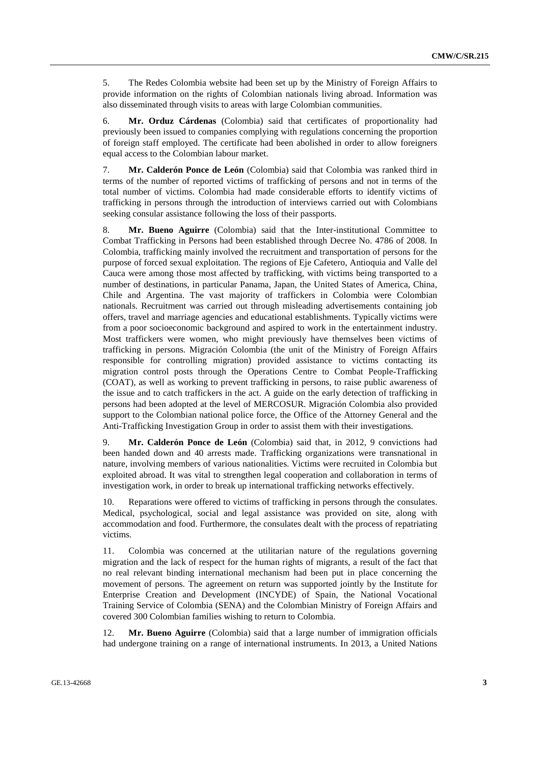5. The Redes Colombia website had been set up by the Ministry of Foreign Affairs to provide information on the rights of Colombian nationals living abroad. Information was also disseminated through visits to areas with large Colombian communities.

6. **Mr. Orduz Cárdenas** (Colombia) said that certificates of proportionality had previously been issued to companies complying with regulations concerning the proportion of foreign staff employed. The certificate had been abolished in order to allow foreigners equal access to the Colombian labour market.

7. **Mr. Calderón Ponce de León** (Colombia) said that Colombia was ranked third in terms of the number of reported victims of trafficking of persons and not in terms of the total number of victims. Colombia had made considerable efforts to identify victims of trafficking in persons through the introduction of interviews carried out with Colombians seeking consular assistance following the loss of their passports.

8. **Mr. Bueno Aguirre** (Colombia) said that the Inter-institutional Committee to Combat Trafficking in Persons had been established through Decree No. 4786 of 2008. In Colombia, trafficking mainly involved the recruitment and transportation of persons for the purpose of forced sexual exploitation. The regions of Eje Cafetero, Antioquia and Valle del Cauca were among those most affected by trafficking, with victims being transported to a number of destinations, in particular Panama, Japan, the United States of America, China, Chile and Argentina. The vast majority of traffickers in Colombia were Colombian nationals. Recruitment was carried out through misleading advertisements containing job offers, travel and marriage agencies and educational establishments. Typically victims were from a poor socioeconomic background and aspired to work in the entertainment industry. Most traffickers were women, who might previously have themselves been victims of trafficking in persons. Migración Colombia (the unit of the Ministry of Foreign Affairs responsible for controlling migration) provided assistance to victims contacting its migration control posts through the Operations Centre to Combat People-Trafficking (COAT), as well as working to prevent trafficking in persons, to raise public awareness of the issue and to catch traffickers in the act. A guide on the early detection of trafficking in persons had been adopted at the level of MERCOSUR. Migración Colombia also provided support to the Colombian national police force, the Office of the Attorney General and the Anti-Trafficking Investigation Group in order to assist them with their investigations.

9. **Mr. Calderón Ponce de León** (Colombia) said that, in 2012, 9 convictions had been handed down and 40 arrests made. Trafficking organizations were transnational in nature, involving members of various nationalities. Victims were recruited in Colombia but exploited abroad. It was vital to strengthen legal cooperation and collaboration in terms of investigation work, in order to break up international trafficking networks effectively.

10. Reparations were offered to victims of trafficking in persons through the consulates. Medical, psychological, social and legal assistance was provided on site, along with accommodation and food. Furthermore, the consulates dealt with the process of repatriating victims.

11. Colombia was concerned at the utilitarian nature of the regulations governing migration and the lack of respect for the human rights of migrants, a result of the fact that no real relevant binding international mechanism had been put in place concerning the movement of persons. The agreement on return was supported jointly by the Institute for Enterprise Creation and Development (INCYDE) of Spain, the National Vocational Training Service of Colombia (SENA) and the Colombian Ministry of Foreign Affairs and covered 300 Colombian families wishing to return to Colombia.

12. **Mr. Bueno Aguirre** (Colombia) said that a large number of immigration officials had undergone training on a range of international instruments. In 2013, a United Nations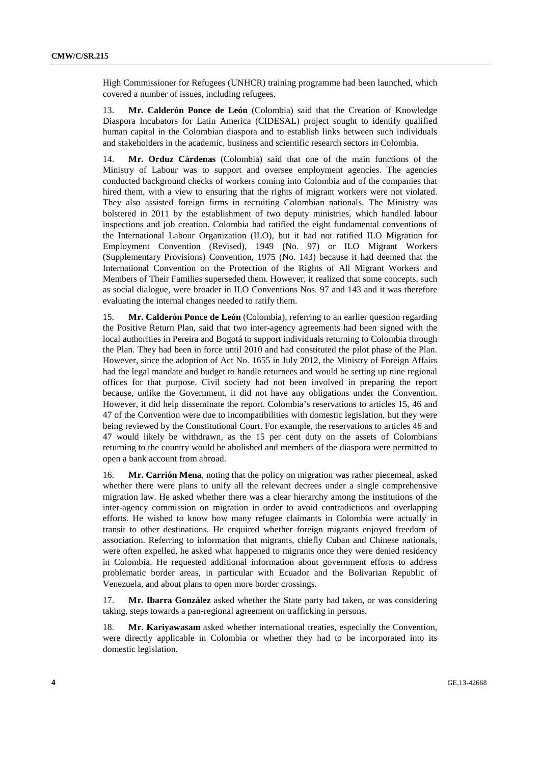High Commissioner for Refugees (UNHCR) training programme had been launched, which covered a number of issues, including refugees.

13. **Mr. Calderón Ponce de León** (Colombia) said that the Creation of Knowledge Diaspora Incubators for Latin America (CIDESAL) project sought to identify qualified human capital in the Colombian diaspora and to establish links between such individuals and stakeholders in the academic, business and scientific research sectors in Colombia.

14. **Mr. Orduz Cárdenas** (Colombia) said that one of the main functions of the Ministry of Labour was to support and oversee employment agencies. The agencies conducted background checks of workers coming into Colombia and of the companies that hired them, with a view to ensuring that the rights of migrant workers were not violated. They also assisted foreign firms in recruiting Colombian nationals. The Ministry was bolstered in 2011 by the establishment of two deputy ministries, which handled labour inspections and job creation. Colombia had ratified the eight fundamental conventions of the International Labour Organization (ILO), but it had not ratified ILO Migration for Employment Convention (Revised), 1949 (No. 97) or ILO Migrant Workers (Supplementary Provisions) Convention, 1975 (No. 143) because it had deemed that the International Convention on the Protection of the Rights of All Migrant Workers and Members of Their Families superseded them. However, it realized that some concepts, such as social dialogue, were broader in ILO Conventions Nos. 97 and 143 and it was therefore evaluating the internal changes needed to ratify them.

15. **Mr. Calderón Ponce de León** (Colombia), referring to an earlier question regarding the Positive Return Plan, said that two inter-agency agreements had been signed with the local authorities in Pereira and Bogotá to support individuals returning to Colombia through the Plan. They had been in force until 2010 and had constituted the pilot phase of the Plan. However, since the adoption of Act No. 1655 in July 2012, the Ministry of Foreign Affairs had the legal mandate and budget to handle returnees and would be setting up nine regional offices for that purpose. Civil society had not been involved in preparing the report because, unlike the Government, it did not have any obligations under the Convention. However, it did help disseminate the report. Colombia's reservations to articles 15, 46 and 47 of the Convention were due to incompatibilities with domestic legislation, but they were being reviewed by the Constitutional Court. For example, the reservations to articles 46 and 47 would likely be withdrawn, as the 15 per cent duty on the assets of Colombians returning to the country would be abolished and members of the diaspora were permitted to open a bank account from abroad.

16. **Mr. Carrión Mena**, noting that the policy on migration was rather piecemeal, asked whether there were plans to unify all the relevant decrees under a single comprehensive migration law. He asked whether there was a clear hierarchy among the institutions of the inter-agency commission on migration in order to avoid contradictions and overlapping efforts. He wished to know how many refugee claimants in Colombia were actually in transit to other destinations. He enquired whether foreign migrants enjoyed freedom of association. Referring to information that migrants, chiefly Cuban and Chinese nationals, were often expelled, he asked what happened to migrants once they were denied residency in Colombia. He requested additional information about government efforts to address problematic border areas, in particular with Ecuador and the Bolivarian Republic of Venezuela, and about plans to open more border crossings.

17. **Mr. Ibarra González** asked whether the State party had taken, or was considering taking, steps towards a pan-regional agreement on trafficking in persons.

18. **Mr. Kariyawasam** asked whether international treaties, especially the Convention, were directly applicable in Colombia or whether they had to be incorporated into its domestic legislation.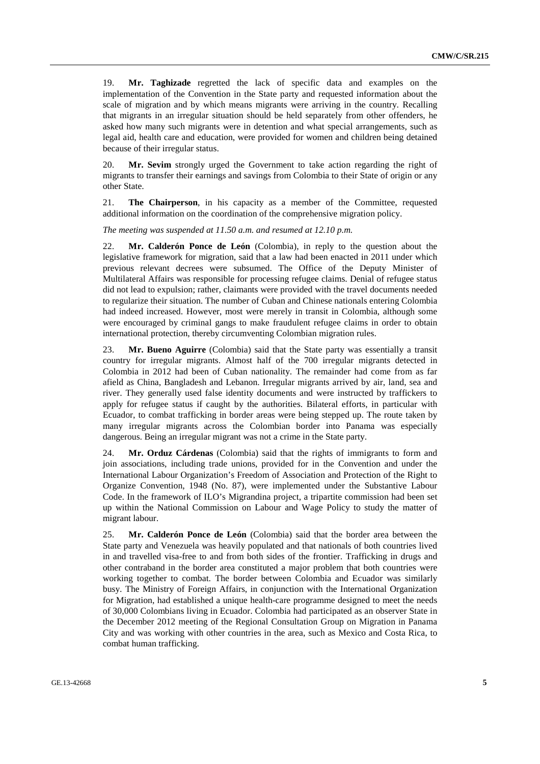19. **Mr. Taghizade** regretted the lack of specific data and examples on the implementation of the Convention in the State party and requested information about the scale of migration and by which means migrants were arriving in the country. Recalling that migrants in an irregular situation should be held separately from other offenders, he asked how many such migrants were in detention and what special arrangements, such as legal aid, health care and education, were provided for women and children being detained because of their irregular status.

20. **Mr. Sevim** strongly urged the Government to take action regarding the right of migrants to transfer their earnings and savings from Colombia to their State of origin or any other State.

21. **The Chairperson**, in his capacity as a member of the Committee, requested additional information on the coordination of the comprehensive migration policy.

*The meeting was suspended at 11.50 a.m. and resumed at 12.10 p.m.* 

22. **Mr. Calderón Ponce de León** (Colombia), in reply to the question about the legislative framework for migration, said that a law had been enacted in 2011 under which previous relevant decrees were subsumed. The Office of the Deputy Minister of Multilateral Affairs was responsible for processing refugee claims. Denial of refugee status did not lead to expulsion; rather, claimants were provided with the travel documents needed to regularize their situation. The number of Cuban and Chinese nationals entering Colombia had indeed increased. However, most were merely in transit in Colombia, although some were encouraged by criminal gangs to make fraudulent refugee claims in order to obtain international protection, thereby circumventing Colombian migration rules.

23. **Mr. Bueno Aguirre** (Colombia) said that the State party was essentially a transit country for irregular migrants. Almost half of the 700 irregular migrants detected in Colombia in 2012 had been of Cuban nationality. The remainder had come from as far afield as China, Bangladesh and Lebanon. Irregular migrants arrived by air, land, sea and river. They generally used false identity documents and were instructed by traffickers to apply for refugee status if caught by the authorities. Bilateral efforts, in particular with Ecuador, to combat trafficking in border areas were being stepped up. The route taken by many irregular migrants across the Colombian border into Panama was especially dangerous. Being an irregular migrant was not a crime in the State party.

24. **Mr. Orduz Cárdenas** (Colombia) said that the rights of immigrants to form and join associations, including trade unions, provided for in the Convention and under the International Labour Organization's Freedom of Association and Protection of the Right to Organize Convention, 1948 (No. 87), were implemented under the Substantive Labour Code. In the framework of ILO's Migrandina project, a tripartite commission had been set up within the National Commission on Labour and Wage Policy to study the matter of migrant labour.

25. **Mr. Calderón Ponce de León** (Colombia) said that the border area between the State party and Venezuela was heavily populated and that nationals of both countries lived in and travelled visa-free to and from both sides of the frontier. Trafficking in drugs and other contraband in the border area constituted a major problem that both countries were working together to combat. The border between Colombia and Ecuador was similarly busy. The Ministry of Foreign Affairs, in conjunction with the International Organization for Migration, had established a unique health-care programme designed to meet the needs of 30,000 Colombians living in Ecuador. Colombia had participated as an observer State in the December 2012 meeting of the Regional Consultation Group on Migration in Panama City and was working with other countries in the area, such as Mexico and Costa Rica, to combat human trafficking.